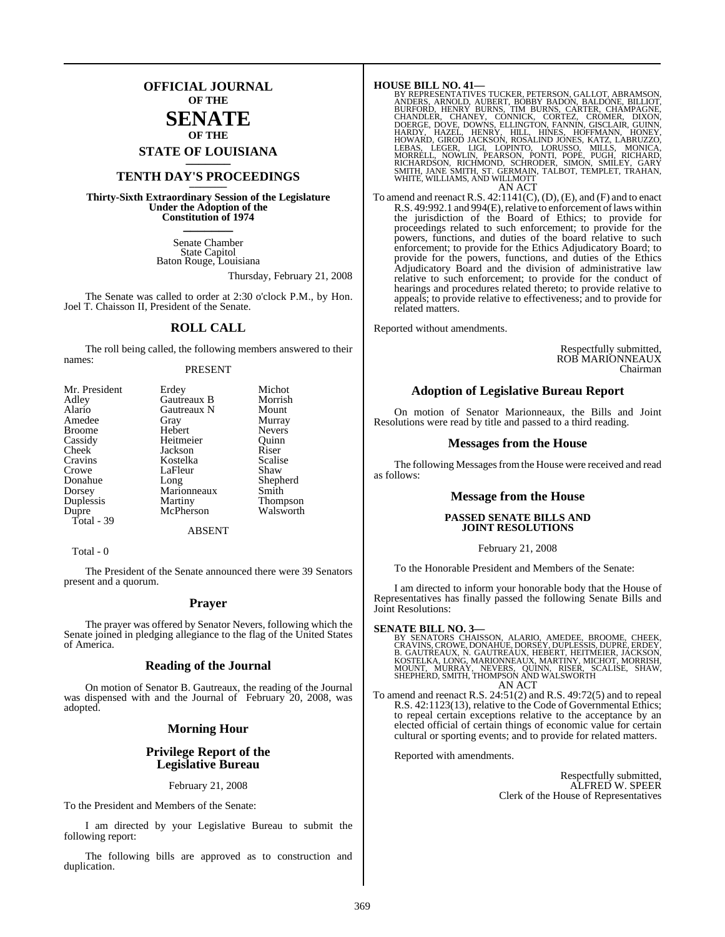### **OFFICIAL JOURNAL OF THE**

### **SENATE OF THE**

**STATE OF LOUISIANA \_\_\_\_\_\_\_**

### **TENTH DAY'S PROCEEDINGS \_\_\_\_\_\_\_**

**Thirty-Sixth Extraordinary Session of the Legislature Under the Adoption of the Constitution of 1974 \_\_\_\_\_\_\_**

> Senate Chamber State Capitol Baton Rouge, Louisiana

> > Thursday, February 21, 2008

The Senate was called to order at 2:30 o'clock P.M., by Hon. Joel T. Chaisson II, President of the Senate.

### **ROLL CALL**

The roll being called, the following members answered to their names:

### PRESENT

| Mr. President | Erdey       | Michot          |
|---------------|-------------|-----------------|
| Adley         | Gautreaux B | Morrish         |
| Alario        | Gautreaux N | Mount           |
| Amedee        | Gray        | Murray          |
| <b>Broome</b> | Hebert      | <b>Nevers</b>   |
| Cassidy       | Heitmeier   | Ouinn           |
| Cheek         | Jackson     | Riser           |
| Cravins       | Kostelka    | Scalise         |
| Crowe         | LaFleur     | Shaw            |
| Donahue       | Long        | Shepherd        |
| Dorsey        | Marionneaux | Smith           |
| Duplessis     | Martiny     | <b>Thompson</b> |
| Dupre         | McPherson   | Walsworth       |
| Total - 39    |             |                 |
|               | ABSENT      |                 |

Total - 0

The President of the Senate announced there were 39 Senators present and a quorum.

### **Prayer**

The prayer was offered by Senator Nevers, following which the Senate joined in pledging allegiance to the flag of the United States of America.

### **Reading of the Journal**

On motion of Senator B. Gautreaux, the reading of the Journal was dispensed with and the Journal of February 20, 2008, was adopted.

### **Morning Hour**

### **Privilege Report of the Legislative Bureau**

February 21, 2008

To the President and Members of the Senate:

I am directed by your Legislative Bureau to submit the following report:

The following bills are approved as to construction and duplication.

**HOUSE BILL NO. 41—** BY REPRESENTATIVES TUCKER, PETERSON, GALLOT, ABRAMSON, ANDERS, ARNOLD, AUBERT, BOBBY BADON, BALDONE, BILLOT, BURNS, CHANDAGNE, CHANDLER, CHANEY, CONNICK, CORTEZ, CROMER, DIXON, DOERGE, DOVER, OVER, DIXON, HARDY, HAZEL, HEN AN ACT

To amend and reenact R.S. 42:1141(C), (D), (E), and (F) and to enact R.S. 49:992.1 and 994(E), relative to enforcement of laws within the jurisdiction of the Board of Ethics; to provide for proceedings related to such enforcement; to provide for the powers, functions, and duties of the board relative to such enforcement; to provide for the Ethics Adjudicatory Board; to provide for the powers, functions, and duties of the Ethics Adjudicatory Board and the division of administrative law relative to such enforcement; to provide for the conduct of hearings and procedures related thereto; to provide relative to appeals; to provide relative to effectiveness; and to provide for related matters.

Reported without amendments.

Respectfully submitted, ROB MARIONNEAUX Chairman

### **Adoption of Legislative Bureau Report**

On motion of Senator Marionneaux, the Bills and Joint Resolutions were read by title and passed to a third reading.

### **Messages from the House**

The following Messages from the House were received and read as follows:

### **Message from the House**

### **PASSED SENATE BILLS AND JOINT RESOLUTIONS**

February 21, 2008

To the Honorable President and Members of the Senate:

I am directed to inform your honorable body that the House of Representatives has finally passed the following Senate Bills and Joint Resolutions:

SENATE BILL NO. 3—<br>BY SENATORS CHAISSON, ALARIO, AMEDEE, BROOME, CHEEK, CRAVINS, CROWE, DONAHUE, DORSEY, DUPLESSIS, DUPRE, ERDEY,<br>CRAVINS, CROWE, DONAHUE, DORSEY, DUPLESSIS, DUPRE, ERDEY,<br>B. GAUTREAUX, N. GAUTREAUX, HEBERT AN ACT

To amend and reenact R.S. 24:51(2) and R.S. 49:72(5) and to repeal R.S. 42:1123(13), relative to the Code of Governmental Ethics; to repeal certain exceptions relative to the acceptance by an elected official of certain things of economic value for certain cultural or sporting events; and to provide for related matters.

Reported with amendments.

Respectfully submitted, ALFRED W. SPEER Clerk of the House of Representatives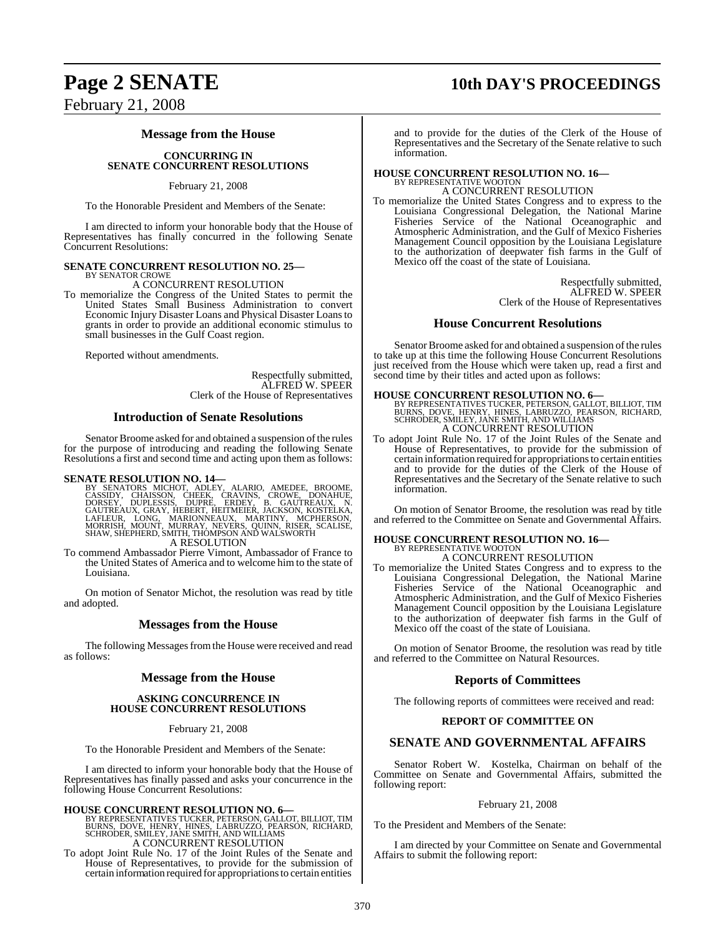## **Page 2 SENATE 10th DAY'S PROCEEDINGS** February 21, 2008

### **Message from the House**

### **CONCURRING IN SENATE CONCURRENT RESOLUTIONS**

February 21, 2008

To the Honorable President and Members of the Senate:

I am directed to inform your honorable body that the House of Representatives has finally concurred in the following Senate Concurrent Resolutions:

## **SENATE CONCURRENT RESOLUTION NO. 25—** BY SENATOR CROWE

A CONCURRENT RESOLUTION

To memorialize the Congress of the United States to permit the United States Small Business Administration to convert Economic Injury Disaster Loans and Physical Disaster Loansto grants in order to provide an additional economic stimulus to small businesses in the Gulf Coast region.

Reported without amendments.

Respectfully submitted, ALFRED W. SPEER Clerk of the House of Representatives

### **Introduction of Senate Resolutions**

Senator Broome asked for and obtained a suspension of the rules for the purpose of introducing and reading the following Senate Resolutions a first and second time and acting upon them as follows:

SENATE RESOLUTION NO. 14—<br>BY SENATORS MICHOT, ADLEY, ALARIO, AMEDEE, BROOME, CASSIDY, CHAISSON, CHEEK, CRAVINS, CROWE, DONAHUE,<br>DORSEY, DUPLESSIS, DUPRE, ERDEY, B. GAUTREAUX, N.<br>GAUTREAUX, GRAY, HEBERT, HEITMEIER, JACKSON, A RESOLUTION

To commend Ambassador Pierre Vimont, Ambassador of France to

the United States of America and to welcome him to the state of Louisiana.

On motion of Senator Michot, the resolution was read by title and adopted.

### **Messages from the House**

The following Messages from the House were received and read as follows:

### **Message from the House**

### **ASKING CONCURRENCE IN HOUSE CONCURRENT RESOLUTIONS**

February 21, 2008

To the Honorable President and Members of the Senate:

I am directed to inform your honorable body that the House of Representatives has finally passed and asks your concurrence in the following House Concurrent Resolutions:

**HOUSE CONCURRENT RESOLUTION NO. 6—**<br>BY REPRESENTATIVES TUCKER, PETERSON, GALLOT, BILLIOT, TIM<br>BURNS, DOVE, HENRY, HINES, LABRUZZO, PEARSON, RICHARD,<br>SCHRODER, SMILEY, JANE SMITH, AND WILLIAMS A CONCURRENT RESOLUTION

To adopt Joint Rule No. 17 of the Joint Rules of the Senate and House of Representatives, to provide for the submission of certain information required for appropriations to certain entities

and to provide for the duties of the Clerk of the House of Representatives and the Secretary of the Senate relative to such information.

### **HOUSE CONCURRENT RESOLUTION NO. 16—** BY REPRESENTATIVE WOOTON

A CONCURRENT RESOLUTION

To memorialize the United States Congress and to express to the Louisiana Congressional Delegation, the National Marine Fisheries Service of the National Oceanographic and Atmospheric Administration, and the Gulf of Mexico Fisheries Management Council opposition by the Louisiana Legislature to the authorization of deepwater fish farms in the Gulf of Mexico off the coast of the state of Louisiana.

> Respectfully submitted, ALFRED W. SPEER Clerk of the House of Representatives

### **House Concurrent Resolutions**

Senator Broome asked for and obtained a suspension of the rules to take up at this time the following House Concurrent Resolutions just received from the House which were taken up, read a first and second time by their titles and acted upon as follows:

**HOUSE CONCURRENT RESOLUTION NO. 6—**<br>BY REPRESENTATIVES TUCKER, PETERSON, GALLOT, BILLIOT, TIM<br>BURNS, DOVE, HENRY, HINES, LABRUZZO, PEARSON, RICHARD,<br>SCHRODER, SMILEY, JANE SMITH, AND WILLIAMS<br>A CONCURRENT RESOLUTION

To adopt Joint Rule No. 17 of the Joint Rules of the Senate and House of Representatives, to provide for the submission of certain information required for appropriations to certain entities and to provide for the duties of the Clerk of the House of Representatives and the Secretary of the Senate relative to such information.

On motion of Senator Broome, the resolution was read by title and referred to the Committee on Senate and Governmental Affairs.

## **HOUSE CONCURRENT RESOLUTION NO. 16—** BY REPRESENTATIVE WOOTON

A CONCURRENT RESOLUTION

To memorialize the United States Congress and to express to the Louisiana Congressional Delegation, the National Marine Fisheries Service of the National Oceanographic and Atmospheric Administration, and the Gulf of Mexico Fisheries Management Council opposition by the Louisiana Legislature to the authorization of deepwater fish farms in the Gulf of Mexico off the coast of the state of Louisiana.

On motion of Senator Broome, the resolution was read by title and referred to the Committee on Natural Resources.

### **Reports of Committees**

The following reports of committees were received and read:

### **REPORT OF COMMITTEE ON**

### **SENATE AND GOVERNMENTAL AFFAIRS**

Senator Robert W. Kostelka, Chairman on behalf of the Committee on Senate and Governmental Affairs, submitted the following report:

### February 21, 2008

To the President and Members of the Senate:

I am directed by your Committee on Senate and Governmental Affairs to submit the following report: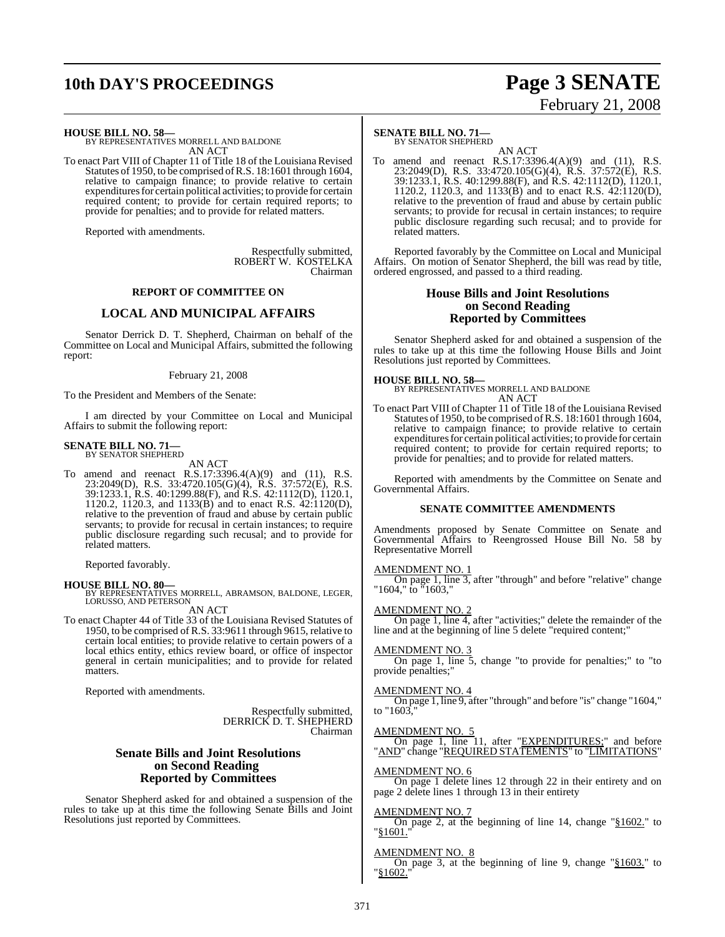## **10th DAY'S PROCEEDINGS Page 3 SENATE**

# February 21, 2008

**HOUSE BILL NO. 58—**

BY REPRESENTATIVES MORRELL AND BALDONE AN ACT

To enact Part VIII of Chapter 11 of Title 18 of the Louisiana Revised Statutes of 1950, to be comprised ofR.S. 18:1601 through 1604, relative to campaign finance; to provide relative to certain expenditures for certain political activities; to provide for certain required content; to provide for certain required reports; to provide for penalties; and to provide for related matters.

Reported with amendments.

Respectfully submitted, ROBERT W. KOSTELKA Chairman

### **REPORT OF COMMITTEE ON**

### **LOCAL AND MUNICIPAL AFFAIRS**

Senator Derrick D. T. Shepherd, Chairman on behalf of the Committee on Local and Municipal Affairs, submitted the following report:

### February 21, 2008

To the President and Members of the Senate:

I am directed by your Committee on Local and Municipal Affairs to submit the following report:

#### **SENATE BILL NO. 71—** BY SENATOR SHEPHERD

AN ACT

To amend and reenact R.S.17:3396.4(A)(9) and (11), R.S. 23:2049(D), R.S. 33:4720.105(G)(4), R.S. 37:572(E), R.S. 39:1233.1, R.S. 40:1299.88(F), and R.S. 42:1112(D), 1120.1, 1120.2, 1120.3, and 1133(B) and to enact R.S. 42:1120(D), relative to the prevention of fraud and abuse by certain public servants; to provide for recusal in certain instances; to require public disclosure regarding such recusal; and to provide for related matters.

Reported favorably.

**HOUSE BILL NO. 80—** BY REPRESENTATIVES MORRELL, ABRAMSON, BALDONE, LEGER, LORUSSO, AND PETERSON AN ACT

To enact Chapter 44 of Title 33 of the Louisiana Revised Statutes of 1950, to be comprised of R.S. 33:9611 through 9615, relative to certain local entities; to provide relative to certain powers of a local ethics entity, ethics review board, or office of inspector general in certain municipalities; and to provide for related matters.

Reported with amendments.

Respectfully submitted, DERRICK D. T. SHEPHERD Chairman

### **Senate Bills and Joint Resolutions on Second Reading Reported by Committees**

Senator Shepherd asked for and obtained a suspension of the rules to take up at this time the following Senate Bills and Joint Resolutions just reported by Committees.

### **SENATE BILL NO. 71—**

BY SENATOR SHEPHERD

AN ACT To amend and reenact R.S.17:3396.4(A)(9) and (11), R.S. 23:2049(D), R.S. 33:4720.105(G)(4), R.S. 37:572(E), R.S. 39:1233.1, R.S. 40:1299.88(F), and R.S. 42:1112(D), 1120.1, 1120.2, 1120.3, and 1133(B) and to enact R.S. 42:1120(D), relative to the prevention of fraud and abuse by certain public servants; to provide for recusal in certain instances; to require public disclosure regarding such recusal; and to provide for related matters.

Reported favorably by the Committee on Local and Municipal Affairs. On motion of Senator Shepherd, the bill was read by title, ordered engrossed, and passed to a third reading.

### **House Bills and Joint Resolutions on Second Reading Reported by Committees**

Senator Shepherd asked for and obtained a suspension of the rules to take up at this time the following House Bills and Joint Resolutions just reported by Committees.

**HOUSE BILL NO. 58—** BY REPRESENTATIVES MORRELL AND BALDONE AN ACT

To enact Part VIII of Chapter 11 of Title 18 of the Louisiana Revised Statutes of 1950, to be comprised ofR.S. 18:1601 through 1604, relative to campaign finance; to provide relative to certain expenditures for certain political activities; to provide for certain required content; to provide for certain required reports; to provide for penalties; and to provide for related matters.

Reported with amendments by the Committee on Senate and Governmental Affairs.

### **SENATE COMMITTEE AMENDMENTS**

Amendments proposed by Senate Committee on Senate and Governmental Affairs to Reengrossed House Bill No. 58 by Representative Morrell

### AMENDMENT NO. 1

On page 1, line 3, after "through" and before "relative" change "1604," to "1603,"

### AMENDMENT NO. 2

On page 1, line 4, after "activities;" delete the remainder of the line and at the beginning of line 5 delete "required content;"

### AMENDMENT NO. 3

On page 1, line 5, change "to provide for penalties;" to "to provide penalties;"

### AMENDMENT NO. 4

On page 1, line 9, after "through" and before "is" change "1604," to  $"1603$ ,

### AMENDMENT NO. 5

On page 1, line 11, after "EXPENDITURES;" and before "AND" change "REQUIRED STATEMENTS" to "LIMITATIONS"

### AMENDMENT NO. 6

On page 1 delete lines 12 through 22 in their entirety and on page 2 delete lines 1 through 13 in their entirety

### AMENDMENT NO. 7

On page 2, at the beginning of line 14, change "§1602." to "§1601."

### AMENDMENT NO. 8

On page 3, at the beginning of line 9, change "§1603." to "§1602."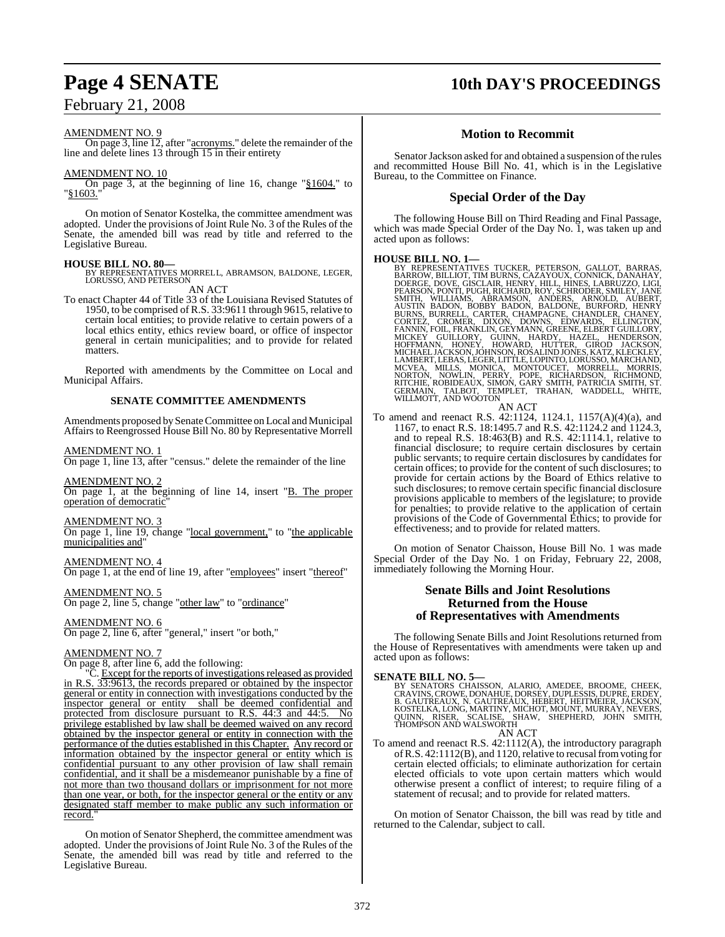### February 21, 2008

### AMENDMENT NO. 9

On page 3, line  $12$ , after " $\frac{1}{2}$  acronyms." delete the remainder of the line and delete lines 13 through 15 in their entirety

### AMENDMENT NO. 10

On page 3, at the beginning of line 16, change "§1604." to  $"81603.$ 

On motion of Senator Kostelka, the committee amendment was adopted. Under the provisions of Joint Rule No. 3 of the Rules of the Senate, the amended bill was read by title and referred to the Legislative Bureau.

### **HOUSE BILL NO. 80—**

BY REPRESENTATIVES MORRELL, ABRAMSON, BALDONE, LEGER, LORUSSO, AND PETERSON AN ACT

To enact Chapter 44 of Title 33 of the Louisiana Revised Statutes of 1950, to be comprised of R.S. 33:9611 through 9615, relative to certain local entities; to provide relative to certain powers of a local ethics entity, ethics review board, or office of inspector general in certain municipalities; and to provide for related matters.

Reported with amendments by the Committee on Local and Municipal Affairs.

### **SENATE COMMITTEE AMENDMENTS**

Amendments proposed bySenate Committee on Local and Municipal Affairs to Reengrossed House Bill No. 80 by Representative Morrell

### AMENDMENT NO. 1

On page 1, line 13, after "census." delete the remainder of the line

AMENDMENT NO. 2

On page 1, at the beginning of line 14, insert "B. The proper operation of democratic"

AMENDMENT NO. 3

On page 1, line 19, change "local government," to "the applicable municipalities and

AMENDMENT NO. 4 On page 1, at the end of line 19, after "employees" insert "thereof"

AMENDMENT NO. 5 On page 2, line 5, change "other law" to "ordinance"

### AMENDMENT NO. 6 On page 2, line 6, after "general," insert "or both,"

### AMENDMENT NO. 7

On page 8, after line 6, add the following:

"C. Except for the reports of investigations released as provided in R.S. 33:9613, the records prepared or obtained by the inspector general or entity in connection with investigations conducted by the inspector general or entity shall be deemed confidential and protected from disclosure pursuant to R.S. 44:3 and 44:5. No privilege established by law shall be deemed waived on any record obtained by the inspector general or entity in connection with the performance of the duties established in this Chapter. Any record or information obtained by the inspector general or entity which is confidential pursuant to any other provision of law shall remain confidential, and it shall be a misdemeanor punishable by a fine of not more than two thousand dollars or imprisonment for not more than one year, or both, for the inspector general or the entity or any designated staff member to make public any such information or record.

On motion of Senator Shepherd, the committee amendment was adopted. Under the provisions of Joint Rule No. 3 of the Rules of the Senate, the amended bill was read by title and referred to the Legislative Bureau.

## **Page 4 SENATE 10th DAY'S PROCEEDINGS**

### **Motion to Recommit**

Senator Jackson asked for and obtained a suspension of the rules and recommitted House Bill No. 41, which is in the Legislative Bureau, to the Committee on Finance.

### **Special Order of the Day**

The following House Bill on Third Reading and Final Passage, which was made Special Order of the Day No. 1, was taken up and acted upon as follows:

HOUSE BILL NO. 1—<br>BY REPRESENTATIVES TUCKER, PETERSON, GALLOT, BARRAS, BARROW, BILLIOT, TIM BURNS, CAZAYOUX, CONNICK, DANAHAY, DOERGE, DOVE, GISCLAIR, HENRY, HILL, HINES, LABRUZZO, LIGI, PEARNON, BOET AND SOME AND SALLONE,

To amend and reenact R.S. 42:1124, 1124.1, 1157(A)(4)(a), and 1167, to enact R.S. 18:1495.7 and R.S. 42:1124.2 and 1124.3, and to repeal R.S. 18:463(B) and R.S. 42:1114.1, relative to financial disclosure; to require certain disclosures by certain public servants; to require certain disclosures by candidates for certain offices; to provide for the content of such disclosures; to provide for certain actions by the Board of Ethics relative to such disclosures; to remove certain specific financial disclosure provisions applicable to members of the legislature; to provide for penalties; to provide relative to the application of certain provisions of the Code of Governmental Ethics; to provide for effectiveness; and to provide for related matters.

On motion of Senator Chaisson, House Bill No. 1 was made Special Order of the Day No. 1 on Friday, February 22, 2008, immediately following the Morning Hour.

### **Senate Bills and Joint Resolutions Returned from the House of Representatives with Amendments**

The following Senate Bills and Joint Resolutions returned from the House of Representatives with amendments were taken up and acted upon as follows:

### **SENATE BILL NO. 5—**

BY SENATORS CHAISSON, ALARIO, AMEDEE, BROOME, CHEEK,<br>CRAVINS,CROWE,DONAHUE,DORSEY,DUPLESSIS,DUPRE,ERDEY,<br>B. GAUTREAUX, N. GAUTREAUX, HEBERT, HEITMEIER,JACKSON,<br>KOSTELKA,LONG,MARTINY,MICHOT,MOUNT,MURRAY,NEVERS,<br>QUINN, RISER AN ACT

To amend and reenact R.S. 42:1112(A), the introductory paragraph of R.S. 42:1112(B), and 1120, relative to recusal from voting for certain elected officials; to eliminate authorization for certain elected officials to vote upon certain matters which would otherwise present a conflict of interest; to require filing of a statement of recusal; and to provide for related matters.

On motion of Senator Chaisson, the bill was read by title and returned to the Calendar, subject to call.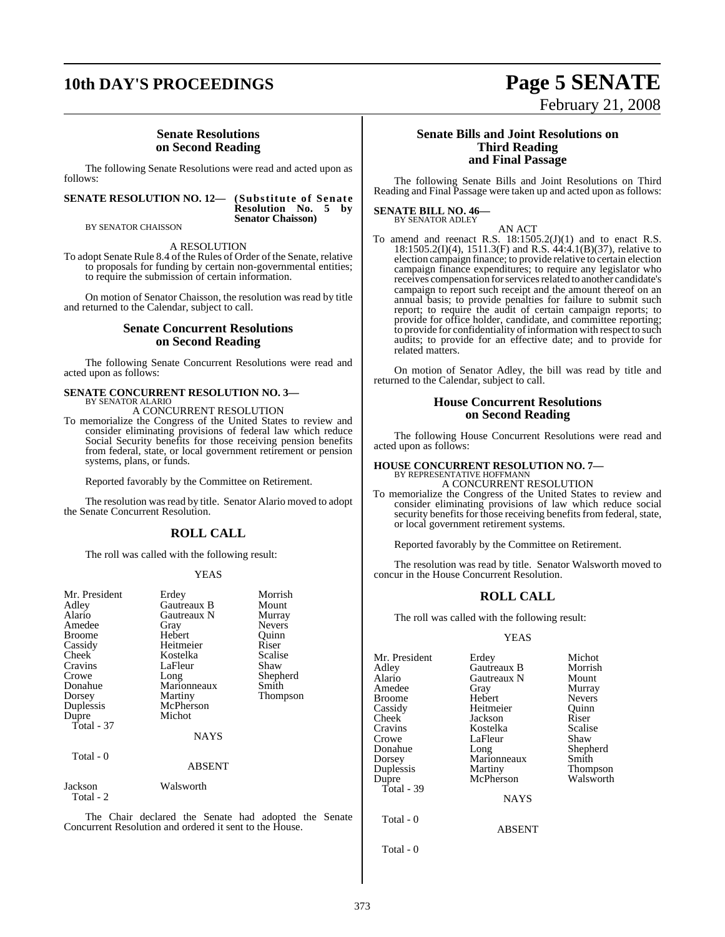## **10th DAY'S PROCEEDINGS Page 5 SENATE**

### **Senate Resolutions on Second Reading**

The following Senate Resolutions were read and acted upon as follows:

### **SENATE RESOLUTION NO. 12— (Substitute of Senate**

### **Resolution No. 5 by Senator Chaisson)**

BY SENATOR CHAISSON

### A RESOLUTION

To adopt Senate Rule 8.4 of the Rules of Order of the Senate, relative to proposals for funding by certain non-governmental entities; to require the submission of certain information.

On motion of Senator Chaisson, the resolution was read by title and returned to the Calendar, subject to call.

### **Senate Concurrent Resolutions on Second Reading**

The following Senate Concurrent Resolutions were read and acted upon as follows:

### **SENATE CONCURRENT RESOLUTION NO. 3—**

BY SENATOR ALARIO A CONCURRENT RESOLUTION

To memorialize the Congress of the United States to review and consider eliminating provisions of federal law which reduce Social Security benefits for those receiving pension benefits from federal, state, or local government retirement or pension systems, plans, or funds.

Reported favorably by the Committee on Retirement.

The resolution was read by title. Senator Alario moved to adopt the Senate Concurrent Resolution.

### **ROLL CALL**

The roll was called with the following result:

### YEAS

| Mr. President<br>Adley<br>Alario<br>Amedee<br><b>Broome</b><br>Cassidy<br>Cheek<br>Cravins<br>Crowe<br>Donahue<br>Dorsey<br>Duplessis<br>Dupre<br>Total - 37<br>Total - 0 | Erdey<br>Gautreaux B<br>Gautreaux N<br>Gray<br>Hebert<br>Heitmeier<br>Kostelka<br>LaFleur<br>Long<br>Marionneaux<br>Martiny<br>McPherson<br>Michot<br><b>NAYS</b><br>ABSENT | Morrish<br>Mount<br>Murray<br><b>Nevers</b><br>Ouinn<br>Riser<br>Scalise<br>Shaw<br>Shepherd<br>Smith<br><b>Thompson</b> |
|---------------------------------------------------------------------------------------------------------------------------------------------------------------------------|-----------------------------------------------------------------------------------------------------------------------------------------------------------------------------|--------------------------------------------------------------------------------------------------------------------------|
| Jackson                                                                                                                                                                   | Walsworth                                                                                                                                                                   |                                                                                                                          |
| Total - 2                                                                                                                                                                 |                                                                                                                                                                             |                                                                                                                          |

The Chair declared the Senate had adopted the Senate Concurrent Resolution and ordered it sent to the House.

### **Senate Bills and Joint Resolutions on Third Reading and Final Passage**

February 21, 2008

The following Senate Bills and Joint Resolutions on Third Reading and Final Passage were taken up and acted upon as follows:

#### **SENATE BILL NO. 46—** BY SENATOR ADLEY

AN ACT

To amend and reenact R.S.  $18:1505.2(J)(1)$  and to enact R.S. 18:1505.2(I)(4), 1511.3(F) and R.S. 44:4.1(B)(37), relative to election campaign finance; to provide relative to certain election campaign finance expenditures; to require any legislator who receives compensation for services related to another candidate's campaign to report such receipt and the amount thereof on an annual basis; to provide penalties for failure to submit such report; to require the audit of certain campaign reports; to provide for office holder, candidate, and committee reporting; to provide for confidentiality of information with respect to such audits; to provide for an effective date; and to provide for related matters.

On motion of Senator Adley, the bill was read by title and returned to the Calendar, subject to call.

### **House Concurrent Resolutions on Second Reading**

The following House Concurrent Resolutions were read and acted upon as follows:

## **HOUSE CONCURRENT RESOLUTION NO. 7—** BY REPRESENTATIVE HOFFMANN

or local government retirement systems.

A CONCURRENT RESOLUTION To memorialize the Congress of the United States to review and consider eliminating provisions of law which reduce social security benefits for those receiving benefits from federal, state,

Reported favorably by the Committee on Retirement.

The resolution was read by title. Senator Walsworth moved to concur in the House Concurrent Resolution.

### **ROLL CALL**

The roll was called with the following result:

### YEAS

| Mr. President<br>Adley<br>Alario<br>Amedee<br>Broome<br>Cassidy<br>Cheek<br>Cravins<br>Crowe<br>Donahue<br>Dorsey<br>Duplessis<br>Dupre | Erdey<br>Gautreaux B<br>Gautreaux N<br>Gray<br>Hebert<br>Heitmeier<br>Jackson<br>Kostelka<br>LaFleur<br>Long<br>Marionneaux<br>Martiny<br>McPherson | Michot<br>Morrish<br>Mount<br>Murray<br><b>Nevers</b><br>Ouinn<br>Riser<br>Scalise<br>Shaw<br>Shepherd<br>Smith |
|-----------------------------------------------------------------------------------------------------------------------------------------|-----------------------------------------------------------------------------------------------------------------------------------------------------|-----------------------------------------------------------------------------------------------------------------|
| Total - 39                                                                                                                              |                                                                                                                                                     | <b>Thompson</b><br>Walsworth                                                                                    |
|                                                                                                                                         | <b>NAYS</b>                                                                                                                                         |                                                                                                                 |
| Total - 0                                                                                                                               |                                                                                                                                                     |                                                                                                                 |

ABSENT

Total - 0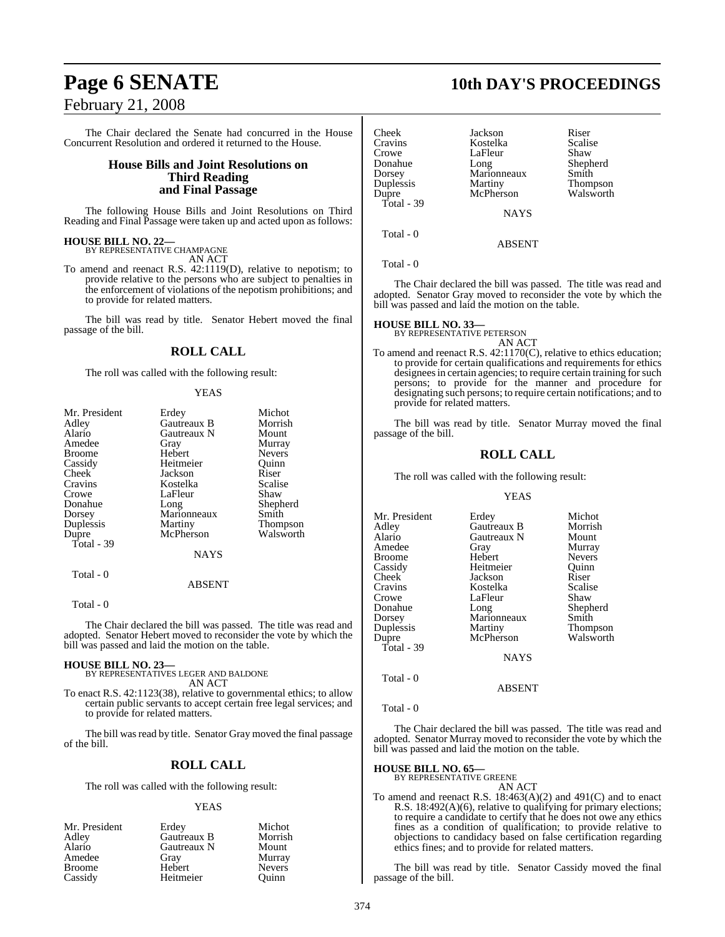### February 21, 2008

The Chair declared the Senate had concurred in the House Concurrent Resolution and ordered it returned to the House.

### **House Bills and Joint Resolutions on Third Reading and Final Passage**

The following House Bills and Joint Resolutions on Third Reading and Final Passage were taken up and acted upon as follows:

### **HOUSE BILL NO. 22—** BY REPRESENTATIVE CHAMPAGNE

AN ACT

To amend and reenact R.S. 42:1119(D), relative to nepotism; to provide relative to the persons who are subject to penalties in the enforcement of violations of the nepotism prohibitions; and to provide for related matters.

The bill was read by title. Senator Hebert moved the final passage of the bill.

### **ROLL CALL**

The roll was called with the following result:

### YEAS

| Mr. President | Erdey       | Michot        |
|---------------|-------------|---------------|
| Adley         | Gautreaux B | Morrish       |
| Alario        | Gautreaux N | Mount         |
| Amedee        | Gray        | Murray        |
| <b>Broome</b> | Hebert      | <b>Nevers</b> |
| Cassidy       | Heitmeier   | Ouinn         |
| Cheek         | Jackson     | Riser         |
| Cravins       | Kostelka    | Scalise       |
| Crowe         | LaFleur     | Shaw          |
| Donahue       | Long        | Shepherd      |
| Dorsey        | Marionneaux | Smith         |
| Duplessis     | Martiny     | Thompson      |
| Dupre         | McPherson   | Walsworth     |
| Total - 39    |             |               |
|               | <b>NAYS</b> |               |
| Total - 0     |             |               |
|               | ABSENT      |               |

Total - 0

The Chair declared the bill was passed. The title was read and adopted. Senator Hebert moved to reconsider the vote by which the bill was passed and laid the motion on the table.

### **HOUSE BILL NO. 23—**

BY REPRESENTATIVES LEGER AND BALDONE AN ACT

To enact R.S. 42:1123(38), relative to governmental ethics; to allow certain public servants to accept certain free legal services; and to provide for related matters.

The bill was read by title. Senator Gray moved the final passage of the bill.

### **ROLL CALL**

The roll was called with the following result:

### YEAS

| Mr. President | Erdey       | Michot        |
|---------------|-------------|---------------|
| Adley         | Gautreaux B | Morrish       |
| Alario        | Gautreaux N | Mount         |
| Amedee        | Gray        | Murray        |
| <b>Broome</b> | Hebert      | <b>Nevers</b> |
| Cassidy       | Heitmeier   | Ouinn         |

## **Page 6 SENATE 10th DAY'S PROCEEDINGS**

| Cheek      | Jackson       | Riser                 |
|------------|---------------|-----------------------|
| Cravins    | Kostelka      | Scalise               |
| Crowe      | LaFleur       | Shaw                  |
| Donahue    | Long          | Shepherd              |
| Dorsey     | Marionneaux   | Smith                 |
| Duplessis  | Martiny       |                       |
| Dupre      | McPherson     | Thompson<br>Walsworth |
| Total - 39 |               |                       |
|            | <b>NIA VE</b> |                       |

NAYS

The Chair declared the bill was passed. The title was read and adopted. Senator Gray moved to reconsider the vote by which the bill was passed and laid the motion on the table.

ABSENT

### **HOUSE BILL NO. 33—**

Total - 0

Total - 0

BY REPRESENTATIVE PETERSON AN ACT

To amend and reenact R.S. 42:1170(C), relative to ethics education; to provide for certain qualifications and requirements for ethics designees in certain agencies; to require certain training for such persons; to provide for the manner and procedure for designating such persons; to require certain notifications; and to provide for related matters.

The bill was read by title. Senator Murray moved the final passage of the bill.

### **ROLL CALL**

The roll was called with the following result:

### YEAS

| Mr. President | Erdey       | Michot          |
|---------------|-------------|-----------------|
| Adley         | Gautreaux B | Morrish         |
| Alario        | Gautreaux N | Mount           |
| Amedee        | Gray        | Murray          |
| Broome        | Hebert      | <b>Nevers</b>   |
| Cassidy       | Heitmeier   | Ouinn           |
| Cheek         | Jackson     | Riser           |
| Cravins       | Kostelka    | Scalise         |
| Crowe         | LaFleur     | Shaw            |
| Donahue       | Long        | Shepherd        |
| Dorsey        | Marionneaux | Smith           |
| Duplessis     | Martiny     | <b>Thompson</b> |
| Dupre         | McPherson   | Walsworth       |
| Total - 39    |             |                 |
|               | <b>NAYS</b> |                 |

Total - 0

ABSENT

Total - 0

The Chair declared the bill was passed. The title was read and adopted. Senator Murray moved to reconsider the vote by which the bill was passed and laid the motion on the table.

## **HOUSE BILL NO. 65—** BY REPRESENTATIVE GREENE

AN ACT

To amend and reenact R.S. 18:463(A)(2) and 491(C) and to enact R.S. 18:492(A)(6), relative to qualifying for primary elections; to require a candidate to certify that he does not owe any ethics fines as a condition of qualification; to provide relative to objections to candidacy based on false certification regarding ethics fines; and to provide for related matters.

The bill was read by title. Senator Cassidy moved the final passage of the bill.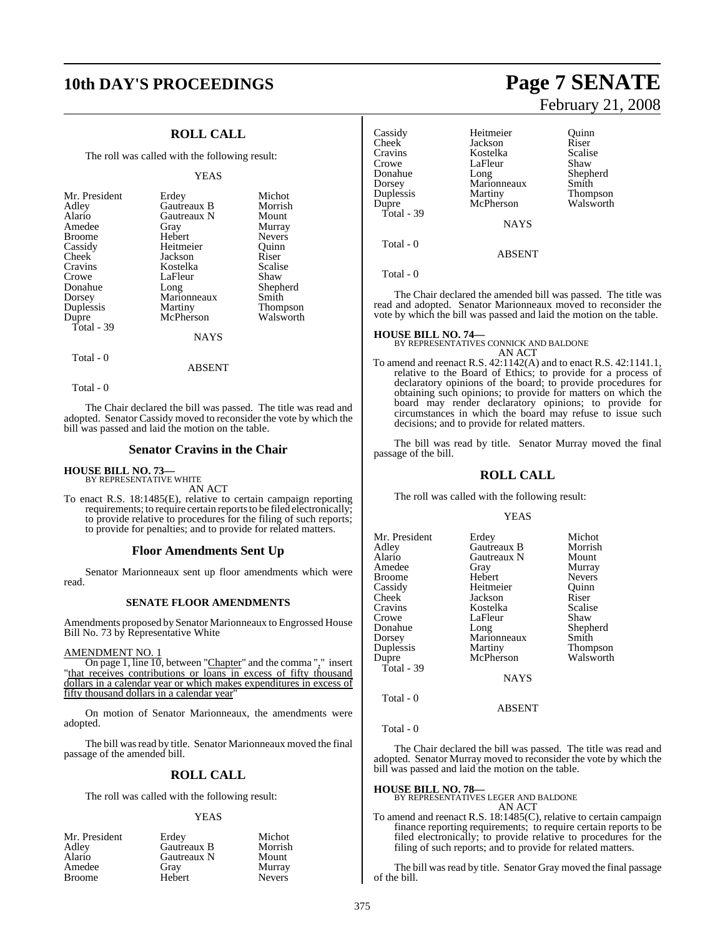## **10th DAY'S PROCEEDINGS Page 7 SENATE**

### **ROLL CALL**

The roll was called with the following result:

### YEAS

| Mr. President | Erdey       | Michot          |
|---------------|-------------|-----------------|
|               |             |                 |
| Adley         | Gautreaux B | Morrish         |
| Alario        | Gautreaux N | Mount           |
| Amedee        | Gray        | Murray          |
| <b>Broome</b> | Hebert      | <b>Nevers</b>   |
| Cassidy       | Heitmeier   | Ouinn           |
| Cheek         | Jackson     | Riser           |
| Cravins       | Kostelka    | Scalise         |
| Crowe         | LaFleur     | Shaw            |
| Donahue       | Long        | Shepherd        |
| Dorsey        | Marionneaux | Smith           |
| Duplessis     | Martiny     | <b>Thompson</b> |
| Dupre         | McPherson   | Walsworth       |
| Total - 39    |             |                 |
|               | <b>NAYS</b> |                 |

Total - 0

Total - 0

The Chair declared the bill was passed. The title was read and adopted. Senator Cassidy moved to reconsider the vote by which the bill was passed and laid the motion on the table.

ABSENT

### **Senator Cravins in the Chair**

**HOUSE BILL NO. 73—** BY REPRESENTATIVE WHITE

AN ACT

To enact R.S. 18:1485(E), relative to certain campaign reporting requirements; to require certain reports to be filed electronically; to provide relative to procedures for the filing of such reports; to provide for penalties; and to provide for related matters.

### **Floor Amendments Sent Up**

Senator Marionneaux sent up floor amendments which were read.

### **SENATE FLOOR AMENDMENTS**

Amendments proposed by Senator Marionneaux to Engrossed House Bill No. 73 by Representative White

### AMENDMENT NO. 1

On page 1, line 10, between "Chapter" and the comma "," insert "that receives contributions or loans in excess of fifty thousand dollars in a calendar year or which makes expenditures in excess of fifty thousand dollars in a calendar year

On motion of Senator Marionneaux, the amendments were adopted.

The bill was read by title. Senator Marionneaux moved the final passage of the amended bill.

### **ROLL CALL**

The roll was called with the following result:

### YEAS

| Mr. President | Erdey       | Michot        |
|---------------|-------------|---------------|
| Adley         | Gautreaux B | Morrish       |
| Alario        | Gautreaux N | Mount         |
| Amedee        | Grav        | Murray        |
| <b>Broome</b> | Hebert      | <b>Nevers</b> |

# February 21, 2008

| Cassidy<br>Cheek <sup>-</sup><br>Cravins<br>Crowe<br>Donahue<br>Dorsey<br>Duplessis<br>Dupre<br>Total - 39 | Heitmeier<br>Jackson<br>Kostelka<br>LaFleur<br>Long<br>Marionneaux<br>Martiny<br>McPherson<br><b>NAYS</b> | Ouinn<br>Riser<br>Scalise<br>Shaw<br>Shepherd<br>Smith<br><b>Thompson</b><br>Walsworth |
|------------------------------------------------------------------------------------------------------------|-----------------------------------------------------------------------------------------------------------|----------------------------------------------------------------------------------------|
| Total - 0                                                                                                  | <b>ABSENT</b>                                                                                             |                                                                                        |
| Total - 0                                                                                                  |                                                                                                           |                                                                                        |

The Chair declared the amended bill was passed. The title was read and adopted. Senator Marionneaux moved to reconsider the vote by which the bill was passed and laid the motion on the table.

### **HOUSE BILL NO. 74—**

BY REPRESENTATIVES CONNICK AND BALDONE AN ACT

To amend and reenact R.S. 42:1142(A) and to enact R.S. 42:1141.1, relative to the Board of Ethics; to provide for a process of declaratory opinions of the board; to provide procedures for obtaining such opinions; to provide for matters on which the board may render declaratory opinions; to provide for circumstances in which the board may refuse to issue such decisions; and to provide for related matters.

The bill was read by title. Senator Murray moved the final passage of the bill.

### **ROLL CALL**

The roll was called with the following result:

### YEAS

| Mr. President<br>Adley<br>Alario<br>Amedee<br>Broome<br>Cassidy<br>Cheek <sup>-</sup><br>Cravins<br>Crowe<br>Donahue<br>Dorsey<br>Duplessis<br>Dupre<br>Total - 39 | Erdey<br>Gautreaux B<br>Gautreaux N<br>Gray<br>Hebert<br>Heitmeier<br>Jackson<br>Kostelka<br>LaFleur<br>Long<br>Marionneaux<br>Martiny<br>McPherson | Michot<br>Morrish<br>Mount<br>Murray<br><b>Nevers</b><br>Ouinn<br>Riser<br>Scalise<br>Shaw<br>Shepherd<br>Smith<br>Thompson<br>Walsworth |
|--------------------------------------------------------------------------------------------------------------------------------------------------------------------|-----------------------------------------------------------------------------------------------------------------------------------------------------|------------------------------------------------------------------------------------------------------------------------------------------|
|                                                                                                                                                                    | <b>NAYS</b>                                                                                                                                         |                                                                                                                                          |
| Total - 0                                                                                                                                                          | <b>ABSENT</b>                                                                                                                                       |                                                                                                                                          |

Total - 0

The Chair declared the bill was passed. The title was read and adopted. Senator Murray moved to reconsider the vote by which the bill was passed and laid the motion on the table.

### **HOUSE BILL NO. 78—**

BY REPRESENTATIVES LEGER AND BALDONE AN ACT

To amend and reenact R.S. 18:1485(C), relative to certain campaign finance reporting requirements; to require certain reports to be filed electronically; to provide relative to procedures for the filing of such reports; and to provide for related matters.

The bill was read by title. Senator Gray moved the final passage of the bill.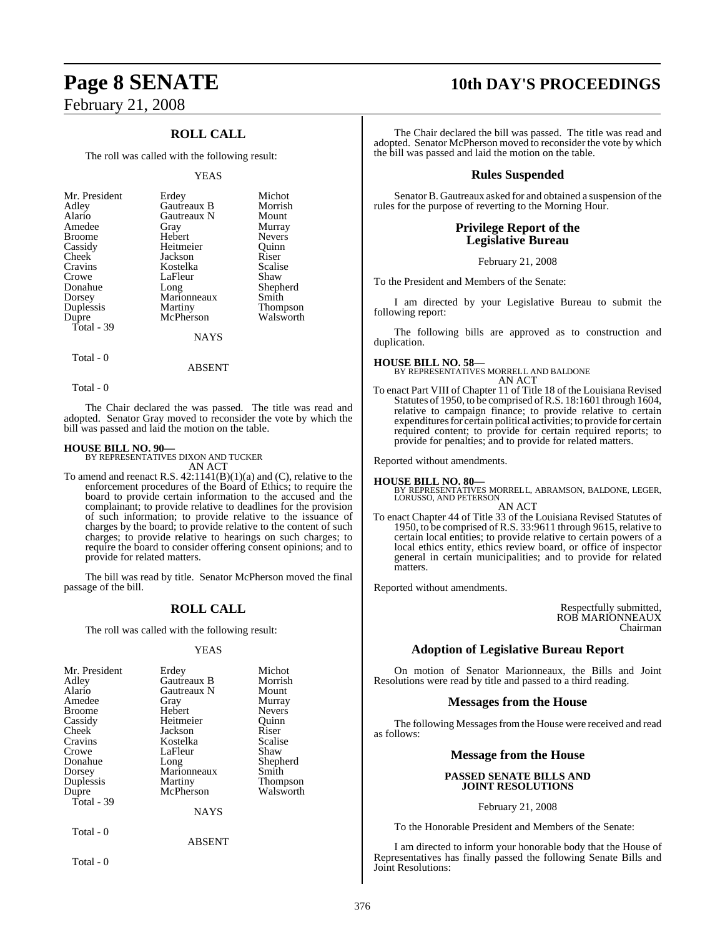# February 21, 2008

### **ROLL CALL**

The roll was called with the following result:

### YEAS

| Mr. President<br>Adley<br>Alario<br>Amedee<br><b>Broome</b><br>Cassidy<br>Cheek<br>Cravins<br>Crowe<br>Donahue<br>Dorsey<br>Duplessis<br>Dupre | Erdey<br>Gautreaux B<br><b>Gautreaux N</b><br>Gray<br>Hebert<br>Heitmeier<br>Jackson<br>Kostelka<br>LaFleur<br>Long<br>Marionneaux<br>Martiny<br>McPherson | Michot<br>Morrish<br>Mount<br>Murray<br><b>Nevers</b><br>Ouinn<br>Riser<br>Scalise<br>Shaw<br>Shepherd<br>Smith<br><b>Thompson</b><br>Walsworth |
|------------------------------------------------------------------------------------------------------------------------------------------------|------------------------------------------------------------------------------------------------------------------------------------------------------------|-------------------------------------------------------------------------------------------------------------------------------------------------|
| Total - 39                                                                                                                                     | <b>NAYS</b>                                                                                                                                                |                                                                                                                                                 |
|                                                                                                                                                |                                                                                                                                                            |                                                                                                                                                 |

Total - 0

Total - 0

The Chair declared the was passed. The title was read and adopted. Senator Gray moved to reconsider the vote by which the bill was passed and laid the motion on the table.

ABSENT

### **HOUSE BILL NO. 90—**

BY REPRESENTATIVES DIXON AND TUCKER AN ACT

To amend and reenact R.S.  $42:1141(B)(1)(a)$  and (C), relative to the enforcement procedures of the Board of Ethics; to require the board to provide certain information to the accused and the complainant; to provide relative to deadlines for the provision of such information; to provide relative to the issuance of charges by the board; to provide relative to the content of such charges; to provide relative to hearings on such charges; to require the board to consider offering consent opinions; and to provide for related matters.

The bill was read by title. Senator McPherson moved the final passage of the bill.

### **ROLL CALL**

The roll was called with the following result:

### YEAS

| Mr. President<br>Adley<br>Alario<br>Amedee<br><b>Broome</b><br>Cassidy<br>Cheek<br>Cravins<br>Crowe<br>Donahue<br>Dorsey<br>Duplessis<br>Dupre<br>Total - $39$ | Erdey<br>Gautreaux B<br>Gautreaux N<br>Gray<br>Hebert<br>Heitmeier<br>Jackson<br>Kostelka<br>LaFleur<br>Long<br>Marionneaux<br>Martiny<br>McPherson<br><b>NAYS</b> | Michot<br>Morrish<br>Mount<br>Murray<br><b>Nevers</b><br>Ouinn<br>Riser<br>Scalise<br>Shaw<br>Shepherd<br>Smith<br><b>Thompson</b><br>Walsworth |
|----------------------------------------------------------------------------------------------------------------------------------------------------------------|--------------------------------------------------------------------------------------------------------------------------------------------------------------------|-------------------------------------------------------------------------------------------------------------------------------------------------|
| Total - 0                                                                                                                                                      | <b>ABSENT</b>                                                                                                                                                      |                                                                                                                                                 |

Total - 0

## **Page 8 SENATE 10th DAY'S PROCEEDINGS**

The Chair declared the bill was passed. The title was read and adopted. Senator McPherson moved to reconsider the vote by which the bill was passed and laid the motion on the table.

### **Rules Suspended**

Senator B. Gautreaux asked for and obtained a suspension of the rules for the purpose of reverting to the Morning Hour.

### **Privilege Report of the Legislative Bureau**

February 21, 2008

To the President and Members of the Senate:

I am directed by your Legislative Bureau to submit the following report:

The following bills are approved as to construction and duplication.

### **HOUSE BILL NO. 58—**

BY REPRESENTATIVES MORRELL AND BALDONE AN ACT

To enact Part VIII of Chapter 11 of Title 18 of the Louisiana Revised Statutes of 1950, to be comprised ofR.S. 18:1601 through 1604, relative to campaign finance; to provide relative to certain expenditures for certain political activities; to provide for certain required content; to provide for certain required reports; to provide for penalties; and to provide for related matters.

Reported without amendments.

**HOUSE BILL NO. 80—** BY REPRESENTATIVES MORRELL, ABRAMSON, BALDONE, LEGER, LORUSSO, AND PETERSON

AN ACT To enact Chapter 44 of Title 33 of the Louisiana Revised Statutes of 1950, to be comprised of R.S. 33:9611 through 9615, relative to certain local entities; to provide relative to certain powers of a local ethics entity, ethics review board, or office of inspector general in certain municipalities; and to provide for related matters.

Reported without amendments.

Respectfully submitted, ROB MARIONNEAUX Chairman

### **Adoption of Legislative Bureau Report**

On motion of Senator Marionneaux, the Bills and Joint Resolutions were read by title and passed to a third reading.

### **Messages from the House**

The following Messages from the House were received and read as follows:

### **Message from the House**

### **PASSED SENATE BILLS AND JOINT RESOLUTIONS**

February 21, 2008

To the Honorable President and Members of the Senate:

I am directed to inform your honorable body that the House of Representatives has finally passed the following Senate Bills and Joint Resolutions: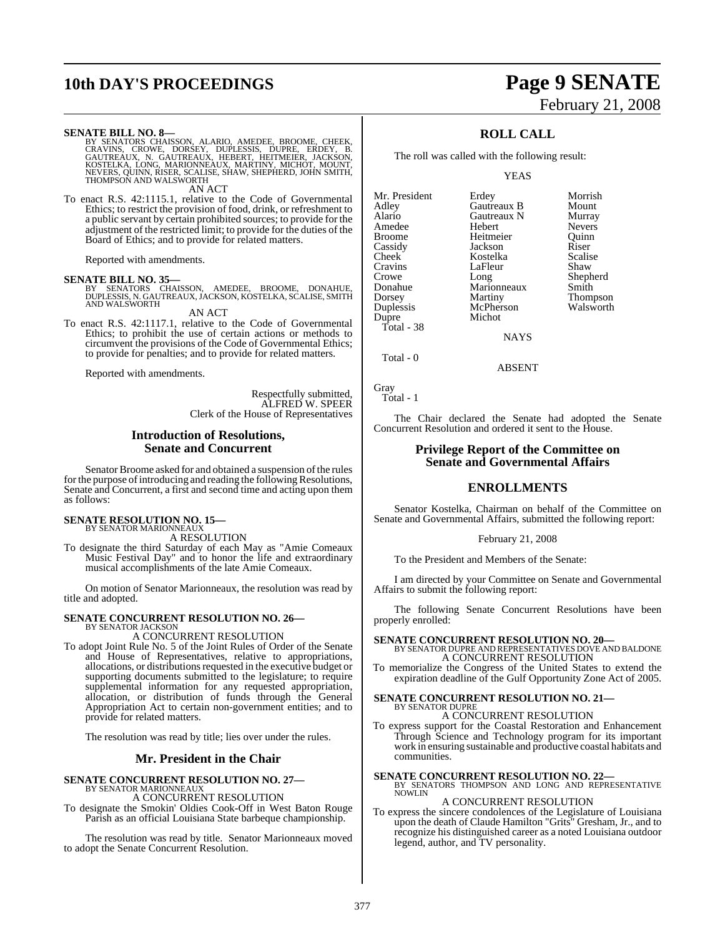## **10th DAY'S PROCEEDINGS Page 9 SENATE**

### **SENATE BILL NO. 8—**

BY SENATORS CHAISSON, ALARIO, AMEDEE, BROOME, CHEEK,<br>CRAVINS, CROWE, DORSEY, DUPLESSIS, DUPRE, ERDEY, B.<br>GAUTREAUX, N. GAUTREAUX, HEBERT, HEITMEIER, JACKSON,<br>KOSTELKA, LONG, MARIONNEAUX, MARTINY, MICHOT, MOUNT,<br>NEVERS, QUI AN ACT

To enact R.S. 42:1115.1, relative to the Code of Governmental Ethics; to restrict the provision of food, drink, or refreshment to a public servant by certain prohibited sources; to provide for the adjustment of the restricted limit; to provide for the duties of the Board of Ethics; and to provide for related matters.

Reported with amendments.

**SENATE BILL NO. 35—** BY SENATORS CHAISSON, AMEDEE, BROOME, DONAHUE, DUPLESSIS, N. GAUTREAUX, JACKSON, KOSTELKA, SCALISE, SMITH AND WALSWORTH

AN ACT

To enact R.S. 42:1117.1, relative to the Code of Governmental Ethics; to prohibit the use of certain actions or methods to circumvent the provisions of the Code of Governmental Ethics; to provide for penalties; and to provide for related matters.

Reported with amendments.

Respectfully submitted, ALFRED W. SPEER Clerk of the House of Representatives

### **Introduction of Resolutions, Senate and Concurrent**

Senator Broome asked for and obtained a suspension of the rules for the purpose of introducing and reading the following Resolutions, Senate and Concurrent, a first and second time and acting upon them as follows:

## **SENATE RESOLUTION NO. 15—** BY SENATOR MARIONNEAUX

A RESOLUTION

To designate the third Saturday of each May as "Amie Comeaux Music Festival Day" and to honor the life and extraordinary musical accomplishments of the late Amie Comeaux.

On motion of Senator Marionneaux, the resolution was read by title and adopted.

### **SENATE CONCURRENT RESOLUTION NO. 26—** BY SENATOR JACKSON

A CONCURRENT RESOLUTION

To adopt Joint Rule No. 5 of the Joint Rules of Order of the Senate and House of Representatives, relative to appropriations, allocations, or distributions requested in the executive budget or supporting documents submitted to the legislature; to require supplemental information for any requested appropriation, allocation, or distribution of funds through the General Appropriation Act to certain non-government entities; and to provide for related matters.

The resolution was read by title; lies over under the rules.

### **Mr. President in the Chair**

**SENATE CONCURRENT RESOLUTION NO. 27—** BY SENATOR MARIONNEAUX

A CONCURRENT RESOLUTION

To designate the Smokin' Oldies Cook-Off in West Baton Rouge Parish as an official Louisiana State barbeque championship.

The resolution was read by title. Senator Marionneaux moved to adopt the Senate Concurrent Resolution.

# February 21, 2008

### **ROLL CALL**

The roll was called with the following result:

YEAS

Mr. President Erdey Morrish<br>Adley Gautreaux B Mount Alario Gautreaux N<br>Amedee Hebert Amedee Hebert Nevers<br>
Broome Heitmeier Ouinn Broome Heitmeier Quinn<br>
Cassidy Jackson Riser Cassidy Jackson Riser Cheek Kostelka Scalis<br>Cravins LaFleur Shaw Cravins LaFleur<br>Crowe Long Crowe Long Shepherd<br>
Donahue Marionneaux Smith Donahue Marionneaux<br>Dorsey Martiny Duplessis McPherson McPherson Walsh McPherson Walsh McPherson Walsh McPherson Walsh McPherson Walsh McPherson W<br>Michot Dupre Total - 38

**Gautreaux B** Mount<br> **Gautreaux N** Murray Martiny Thompson<br>
McPherson Walsworth

**NAYS** 

Total - 0

ABSENT

Gray Total - 1

The Chair declared the Senate had adopted the Senate Concurrent Resolution and ordered it sent to the House.

### **Privilege Report of the Committee on Senate and Governmental Affairs**

### **ENROLLMENTS**

Senator Kostelka, Chairman on behalf of the Committee on Senate and Governmental Affairs, submitted the following report:

### February 21, 2008

To the President and Members of the Senate:

I am directed by your Committee on Senate and Governmental Affairs to submit the following report:

The following Senate Concurrent Resolutions have been properly enrolled:

**SENATE CONCURRENT RESOLUTION NO. 20—** BY SENATOR DUPRE AND REPRESENTATIVES DOVE AND BALDONE

A CONCURRENT RESOLUTION

To memorialize the Congress of the United States to extend the expiration deadline of the Gulf Opportunity Zone Act of 2005.

### **SENATE CONCURRENT RESOLUTION NO. 21—** BY SENATOR DUPRE

A CONCURRENT RESOLUTION

To express support for the Coastal Restoration and Enhancement Through Science and Technology program for its important work in ensuring sustainable and productive coastal habitats and communities.

**SENATE CONCURRENT RESOLUTION NO. 22—**<br>BY SENATORS THOMPSON AND LONG AND REPRESENTATIVE<br>NOWLIN

### A CONCURRENT RESOLUTION

To express the sincere condolences of the Legislature of Louisiana upon the death of Claude Hamilton "Grits" Gresham, Jr., and to recognize his distinguished career as a noted Louisiana outdoor legend, author, and TV personality.